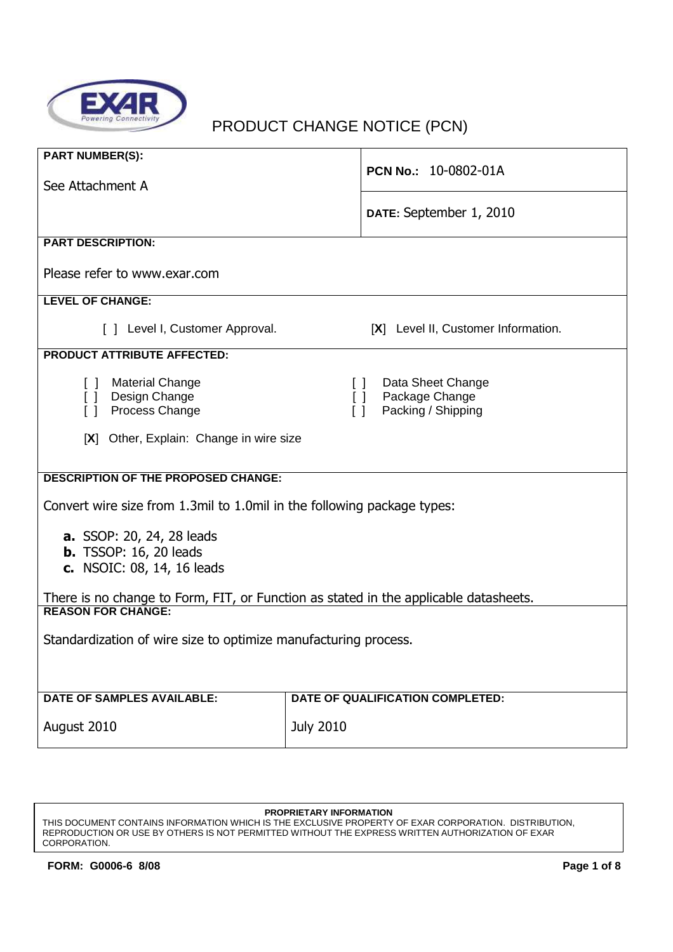

# PRODUCT CHANGE NOTICE (PCN)

| <b>PART NUMBER(S):</b>                                                  | PCN No.: 10-0802-01A                                                                 |  |  |  |  |  |
|-------------------------------------------------------------------------|--------------------------------------------------------------------------------------|--|--|--|--|--|
| See Attachment A                                                        |                                                                                      |  |  |  |  |  |
|                                                                         | DATE: September 1, 2010                                                              |  |  |  |  |  |
| <b>PART DESCRIPTION:</b>                                                |                                                                                      |  |  |  |  |  |
| Please refer to www.exar.com                                            |                                                                                      |  |  |  |  |  |
| <b>LEVEL OF CHANGE:</b>                                                 |                                                                                      |  |  |  |  |  |
| [ ] Level I, Customer Approval.                                         | [X] Level II, Customer Information.                                                  |  |  |  |  |  |
| <b>PRODUCT ATTRIBUTE AFFECTED:</b>                                      |                                                                                      |  |  |  |  |  |
| [ ] Material Change<br>Design Change<br>$\Box$                          | Data Sheet Change<br>$\Box$<br>Package Change<br>$\Box$                              |  |  |  |  |  |
| Process Change<br>$\Box$                                                | $\Box$<br>Packing / Shipping                                                         |  |  |  |  |  |
| [X] Other, Explain: Change in wire size                                 |                                                                                      |  |  |  |  |  |
| <b>DESCRIPTION OF THE PROPOSED CHANGE:</b>                              |                                                                                      |  |  |  |  |  |
|                                                                         |                                                                                      |  |  |  |  |  |
| Convert wire size from 1.3mil to 1.0mil in the following package types: |                                                                                      |  |  |  |  |  |
| <b>a.</b> SSOP: 20, 24, 28 leads                                        |                                                                                      |  |  |  |  |  |
| <b>b.</b> TSSOP: 16, 20 leads<br>c. NSOIC: 08, 14, 16 leads             |                                                                                      |  |  |  |  |  |
|                                                                         |                                                                                      |  |  |  |  |  |
| <b>REASON FOR CHANGE:</b>                                               | There is no change to Form, FIT, or Function as stated in the applicable datasheets. |  |  |  |  |  |
| Standardization of wire size to optimize manufacturing process.         |                                                                                      |  |  |  |  |  |
|                                                                         |                                                                                      |  |  |  |  |  |
|                                                                         |                                                                                      |  |  |  |  |  |
| <b>DATE OF SAMPLES AVAILABLE:</b>                                       | DATE OF QUALIFICATION COMPLETED:                                                     |  |  |  |  |  |
| August 2010                                                             | <b>July 2010</b>                                                                     |  |  |  |  |  |

#### **PROPRIETARY INFORMATION**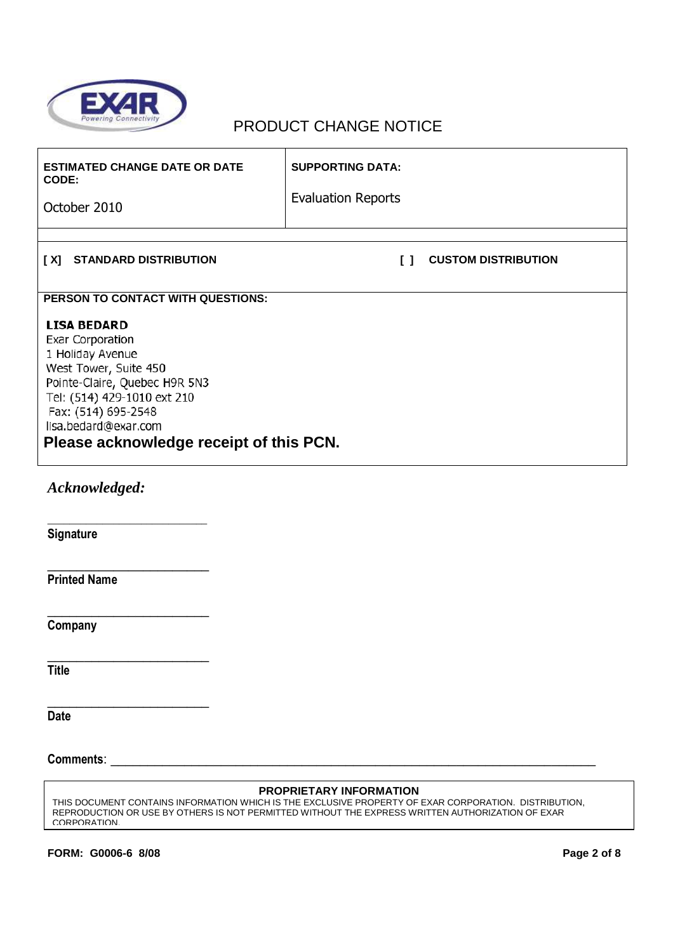

| <b>ESTIMATED CHANGE DATE OR DATE</b><br>CODE:                                                                                                                                                                                                 | <b>SUPPORTING DATA:</b>              |  |  |  |
|-----------------------------------------------------------------------------------------------------------------------------------------------------------------------------------------------------------------------------------------------|--------------------------------------|--|--|--|
| October 2010                                                                                                                                                                                                                                  | <b>Evaluation Reports</b>            |  |  |  |
| [X] STANDARD DISTRIBUTION                                                                                                                                                                                                                     | <b>CUSTOM DISTRIBUTION</b><br>$\Box$ |  |  |  |
| PERSON TO CONTACT WITH QUESTIONS:                                                                                                                                                                                                             |                                      |  |  |  |
| <b>LISA BEDARD</b><br>Exar Corporation<br>1 Holiday Avenue<br>West Tower, Suite 450<br>Pointe-Claire, Quebec H9R 5N3<br>Tel: (514) 429-1010 ext 210<br>Fax: (514) 695-2548<br>lisa.bedard@exar.com<br>Please acknowledge receipt of this PCN. |                                      |  |  |  |
| Acknowledged:                                                                                                                                                                                                                                 |                                      |  |  |  |
| <b>Signature</b>                                                                                                                                                                                                                              |                                      |  |  |  |
| <b>Printed Name</b>                                                                                                                                                                                                                           |                                      |  |  |  |
| Company                                                                                                                                                                                                                                       |                                      |  |  |  |
| <b>Title</b>                                                                                                                                                                                                                                  |                                      |  |  |  |
| <b>Date</b>                                                                                                                                                                                                                                   |                                      |  |  |  |
| Comments:                                                                                                                                                                                                                                     |                                      |  |  |  |

#### **PROPRIETARY INFORMATION**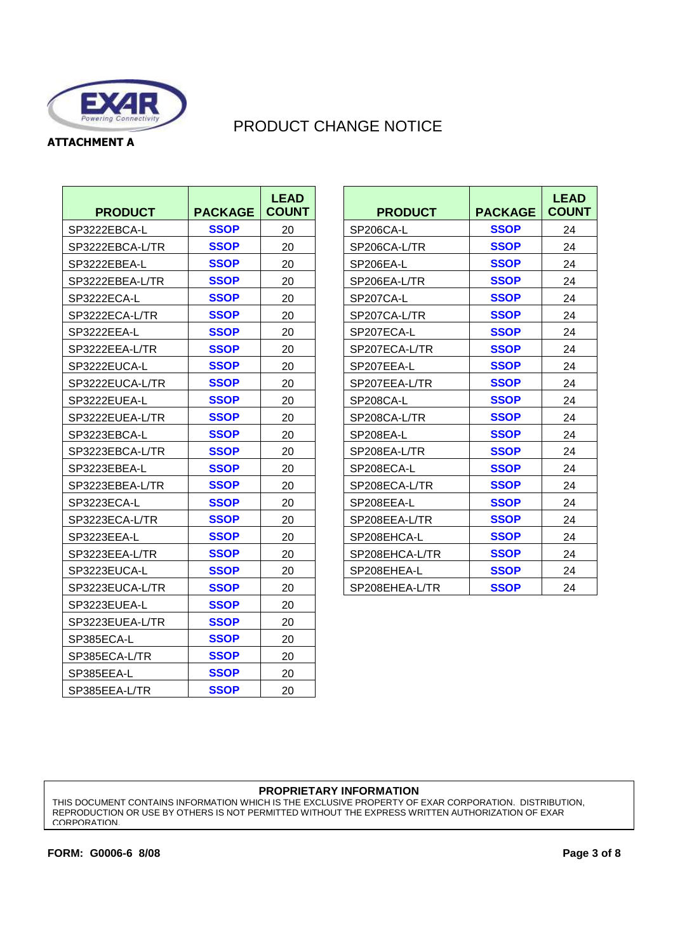

**ATTACHMENT A** 

# PRODUCT CHANGE NOTICE

| <b>PRODUCT</b>  | <b>PACKAGE</b> | <b>LEAD</b><br><b>COUNT</b> | <b>PRODUCT</b> | <b>PACKAGE</b> | <b>LEA</b><br><b>COUI</b> |
|-----------------|----------------|-----------------------------|----------------|----------------|---------------------------|
| SP3222EBCA-L    | <b>SSOP</b>    | 20                          | SP206CA-L      | <b>SSOP</b>    | 24                        |
| SP3222EBCA-L/TR | <b>SSOP</b>    | 20                          | SP206CA-L/TR   | <b>SSOP</b>    | 24                        |
| SP3222EBEA-L    | <b>SSOP</b>    | 20                          | SP206EA-L      | <b>SSOP</b>    | 24                        |
| SP3222EBEA-L/TR | <b>SSOP</b>    | 20                          | SP206EA-L/TR   | <b>SSOP</b>    | 24                        |
| SP3222ECA-L     | <b>SSOP</b>    | 20                          | SP207CA-L      | <b>SSOP</b>    | 24                        |
| SP3222ECA-L/TR  | <b>SSOP</b>    | 20                          | SP207CA-L/TR   | <b>SSOP</b>    | 24                        |
| SP3222EEA-L     | <b>SSOP</b>    | 20                          | SP207ECA-L     | <b>SSOP</b>    | 24                        |
| SP3222EEA-L/TR  | <b>SSOP</b>    | 20                          | SP207ECA-L/TR  | <b>SSOP</b>    | 24                        |
| SP3222EUCA-L    | <b>SSOP</b>    | 20                          | SP207EEA-L     | <b>SSOP</b>    | 24                        |
| SP3222EUCA-L/TR | <b>SSOP</b>    | 20                          | SP207EEA-L/TR  | <b>SSOP</b>    | 24                        |
| SP3222EUEA-L    | <b>SSOP</b>    | 20                          | SP208CA-L      | <b>SSOP</b>    | 24                        |
| SP3222EUEA-L/TR | <b>SSOP</b>    | 20                          | SP208CA-L/TR   | <b>SSOP</b>    | 24                        |
| SP3223EBCA-L    | <b>SSOP</b>    | 20                          | SP208EA-L      | <b>SSOP</b>    | 24                        |
| SP3223EBCA-L/TR | <b>SSOP</b>    | 20                          | SP208EA-L/TR   | <b>SSOP</b>    | 24                        |
| SP3223EBEA-L    | <b>SSOP</b>    | 20                          | SP208ECA-L     | <b>SSOP</b>    | 24                        |
| SP3223EBEA-L/TR | <b>SSOP</b>    | 20                          | SP208ECA-L/TR  | <b>SSOP</b>    | 24                        |
| SP3223ECA-L     | <b>SSOP</b>    | 20                          | SP208EEA-L     | <b>SSOP</b>    | 24                        |
| SP3223ECA-L/TR  | <b>SSOP</b>    | 20                          | SP208EEA-L/TR  | <b>SSOP</b>    | 24                        |
| SP3223EEA-L     | <b>SSOP</b>    | 20                          | SP208EHCA-L    | <b>SSOP</b>    | 24                        |
| SP3223EEA-L/TR  | <b>SSOP</b>    | 20                          | SP208EHCA-L/TR | <b>SSOP</b>    | 24                        |
| SP3223EUCA-L    | <b>SSOP</b>    | 20                          | SP208EHEA-L    | <b>SSOP</b>    | 24                        |
| SP3223EUCA-L/TR | <b>SSOP</b>    | 20                          | SP208EHEA-L/TR | <b>SSOP</b>    | 24                        |
| SP3223EUEA-L    | <b>SSOP</b>    | 20                          |                |                |                           |
| SP3223EUEA-L/TR | <b>SSOP</b>    | 20                          |                |                |                           |
| SP385ECA-L      | <b>SSOP</b>    | 20                          |                |                |                           |
| SP385ECA-L/TR   | <b>SSOP</b>    | 20                          |                |                |                           |
| SP385EEA-L      | <b>SSOP</b>    | 20                          |                |                |                           |
| SP385EEA-L/TR   | <b>SSOP</b>    | 20                          |                |                |                           |

| <b>LEAD</b><br><b>COUNT</b> | <b>PRODUCT</b> | <b>PACKAGE</b> | <b>LEAD</b><br><b>COUNT</b> |
|-----------------------------|----------------|----------------|-----------------------------|
| 20                          | SP206CA-L      | <b>SSOP</b>    | 24                          |
| 20                          | SP206CA-L/TR   | <b>SSOP</b>    | 24                          |
| 20                          | SP206EA-L      | <b>SSOP</b>    | 24                          |
| 20                          | SP206EA-L/TR   | <b>SSOP</b>    | 24                          |
| 20                          | SP207CA-L      | <b>SSOP</b>    | 24                          |
| 20                          | SP207CA-L/TR   | <b>SSOP</b>    | 24                          |
| 20                          | SP207ECA-L     | <b>SSOP</b>    | 24                          |
| 20                          | SP207ECA-L/TR  | <b>SSOP</b>    | 24                          |
| 20                          | SP207EEA-L     | <b>SSOP</b>    | 24                          |
| 20                          | SP207EEA-L/TR  | <b>SSOP</b>    | 24                          |
| 20                          | SP208CA-L      | <b>SSOP</b>    | 24                          |
| 20                          | SP208CA-L/TR   | <b>SSOP</b>    | 24                          |
| 20                          | SP208EA-L      | <b>SSOP</b>    | 24                          |
| 20                          | SP208EA-L/TR   | <b>SSOP</b>    | 24                          |
| 20                          | SP208ECA-L     | <b>SSOP</b>    | 24                          |
| 20                          | SP208ECA-L/TR  | <b>SSOP</b>    | 24                          |
| 20                          | SP208EEA-L     | <b>SSOP</b>    | 24                          |
| 20                          | SP208EEA-L/TR  | <b>SSOP</b>    | 24                          |
| 20                          | SP208EHCA-L    | <b>SSOP</b>    | 24                          |
| 20                          | SP208EHCA-L/TR | <b>SSOP</b>    | 24                          |
| 20                          | SP208EHEA-L    | <b>SSOP</b>    | 24                          |
| 20                          | SP208EHEA-L/TR | <b>SSOP</b>    | 24                          |

#### **PROPRIETARY INFORMATION**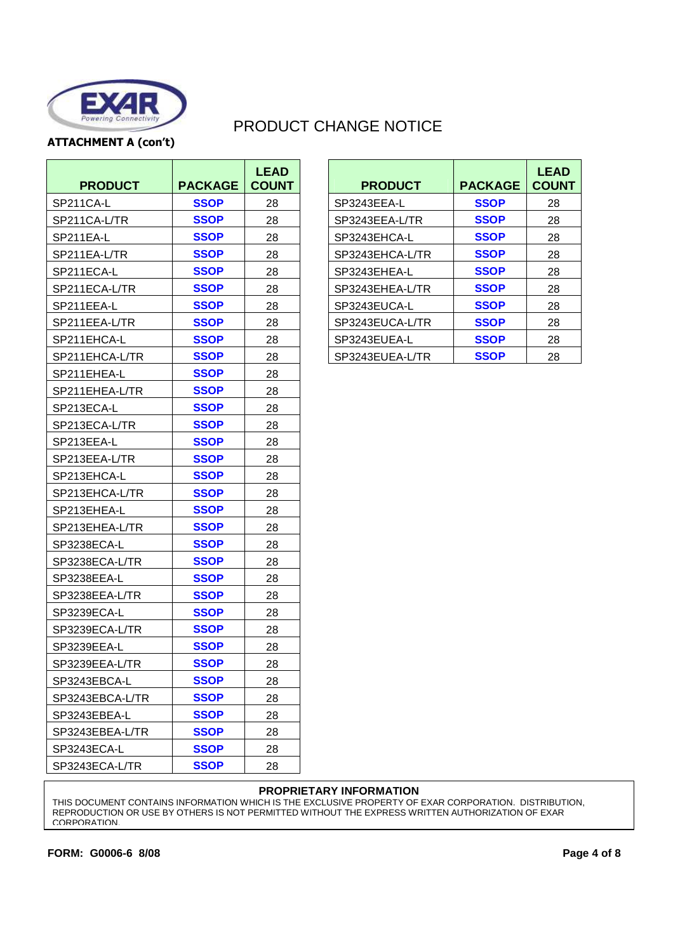

**ATTACHMENT A (con't)** 

# PRODUCT CHANGE NOTICE

| <b>PRODUCT</b>  | <b>PACKAGE</b> | <b>LEAD</b><br><b>COUNT</b> | <b>PRODUCT</b>  | <b>PACKAGE</b> | <b>LEA</b><br><b>COUI</b> |
|-----------------|----------------|-----------------------------|-----------------|----------------|---------------------------|
| SP211CA-L       | <b>SSOP</b>    | 28                          | SP3243EEA-L     | <b>SSOP</b>    | 28                        |
| SP211CA-L/TR    | <b>SSOP</b>    | 28                          | SP3243EEA-L/TR  | <b>SSOP</b>    | 28                        |
| SP211EA-L       | <b>SSOP</b>    | 28                          | SP3243EHCA-L    | <b>SSOP</b>    | 28                        |
| SP211EA-L/TR    | <b>SSOP</b>    | 28                          | SP3243EHCA-L/TR | <b>SSOP</b>    | 28                        |
| SP211ECA-L      | <b>SSOP</b>    | 28                          | SP3243EHEA-L    | <b>SSOP</b>    | 28                        |
| SP211ECA-L/TR   | <b>SSOP</b>    | 28                          | SP3243EHEA-L/TR | <b>SSOP</b>    | 28                        |
| SP211EEA-L      | <b>SSOP</b>    | 28                          | SP3243EUCA-L    | <b>SSOP</b>    | 28                        |
| SP211EEA-L/TR   | <b>SSOP</b>    | 28                          | SP3243EUCA-L/TR | <b>SSOP</b>    | 28                        |
| SP211EHCA-L     | <b>SSOP</b>    | 28                          | SP3243EUEA-L    | <b>SSOP</b>    | 28                        |
| SP211EHCA-L/TR  | <b>SSOP</b>    | 28                          | SP3243EUEA-L/TR | <b>SSOP</b>    | 28                        |
| SP211EHEA-L     | <b>SSOP</b>    | 28                          |                 |                |                           |
| SP211EHEA-L/TR  | <b>SSOP</b>    | 28                          |                 |                |                           |
| SP213ECA-L      | <b>SSOP</b>    | 28                          |                 |                |                           |
| SP213ECA-L/TR   | <b>SSOP</b>    | 28                          |                 |                |                           |
| SP213EEA-L      | <b>SSOP</b>    | 28                          |                 |                |                           |
| SP213EEA-L/TR   | <b>SSOP</b>    | 28                          |                 |                |                           |
| SP213EHCA-L     | <b>SSOP</b>    | 28                          |                 |                |                           |
| SP213EHCA-L/TR  | <b>SSOP</b>    | 28                          |                 |                |                           |
| SP213EHEA-L     | <b>SSOP</b>    | 28                          |                 |                |                           |
| SP213EHEA-L/TR  | <b>SSOP</b>    | 28                          |                 |                |                           |
| SP3238ECA-L     | <b>SSOP</b>    | 28                          |                 |                |                           |
| SP3238ECA-L/TR  | <b>SSOP</b>    | 28                          |                 |                |                           |
| SP3238EEA-L     | <b>SSOP</b>    | 28                          |                 |                |                           |
| SP3238EEA-L/TR  | <b>SSOP</b>    | 28                          |                 |                |                           |
| SP3239ECA-L     | <b>SSOP</b>    | 28                          |                 |                |                           |
| SP3239ECA-L/TR  | <b>SSOP</b>    | 28                          |                 |                |                           |
| SP3239EEA-L     | <b>SSOP</b>    | 28                          |                 |                |                           |
| SP3239EEA-L/TR  | <b>SSOP</b>    | 28                          |                 |                |                           |
| SP3243EBCA-L    | <b>SSOP</b>    | 28                          |                 |                |                           |
| SP3243EBCA-L/TR | <b>SSOP</b>    | 28                          |                 |                |                           |
| SP3243EBEA-L    | <b>SSOP</b>    | 28                          |                 |                |                           |
| SP3243EBEA-L/TR | <b>SSOP</b>    | 28                          |                 |                |                           |
| SP3243ECA-L     | <b>SSOP</b>    | 28                          |                 |                |                           |
| SP3243ECA-L/TR  | <b>SSOP</b>    | 28                          |                 |                |                           |

| <b>LEAD</b><br><b>COUNT</b> | <b>PRODUCT</b>  | <b>PACKAGE</b> | <b>LEAD</b><br><b>COUNT</b> |
|-----------------------------|-----------------|----------------|-----------------------------|
| 28                          | SP3243EEA-L     | <b>SSOP</b>    | 28                          |
| 28                          | SP3243EEA-L/TR  | <b>SSOP</b>    | 28                          |
| 28                          | SP3243EHCA-L    | <b>SSOP</b>    | 28                          |
| 28                          | SP3243EHCA-L/TR | <b>SSOP</b>    | 28                          |
| 28                          | SP3243EHEA-L    | <b>SSOP</b>    | 28                          |
| 28                          | SP3243EHEA-L/TR | <b>SSOP</b>    | 28                          |
| 28                          | SP3243EUCA-L    | <b>SSOP</b>    | 28                          |
| 28                          | SP3243EUCA-L/TR | <b>SSOP</b>    | 28                          |
| 28                          | SP3243EUEA-L    | <b>SSOP</b>    | 28                          |
| 28                          | SP3243EUEA-L/TR | <b>SSOP</b>    | 28                          |

#### **PROPRIETARY INFORMATION**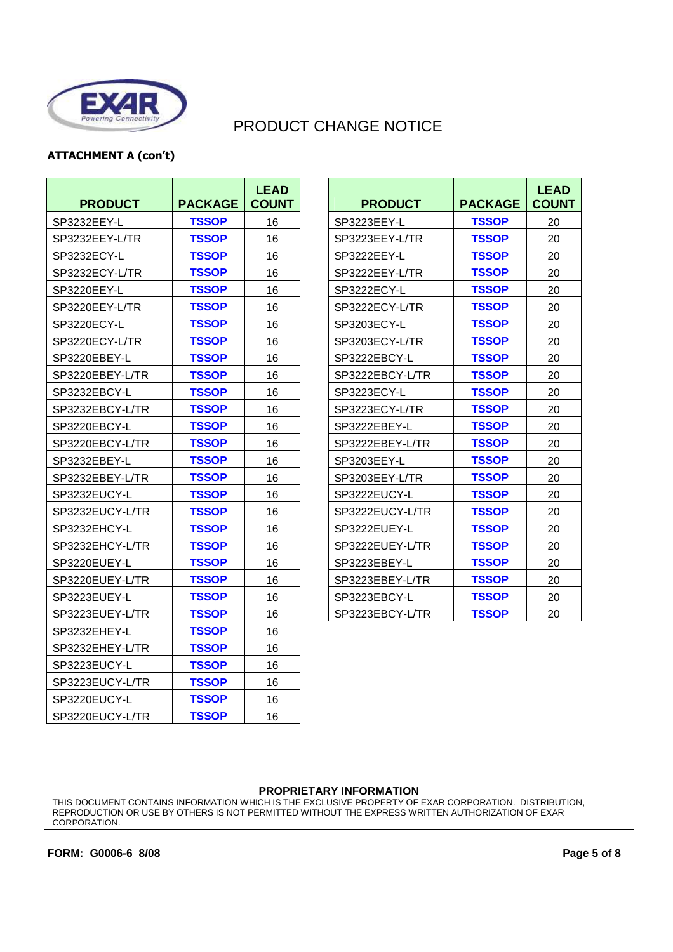

### **ATTACHMENT A (con't)**

| <b>PRODUCT</b>  | <b>PACKAGE</b> | <b>LEAD</b><br><b>COUNT</b> | <b>PRODUCT</b>  | <b>PACKAGE</b> | <b>LEA</b><br><b>COUI</b> |
|-----------------|----------------|-----------------------------|-----------------|----------------|---------------------------|
| SP3232EEY-L     | <b>TSSOP</b>   | 16                          | SP3223EEY-L     | <b>TSSOP</b>   | 20                        |
| SP3232EEY-L/TR  | <b>TSSOP</b>   | 16                          | SP3223EEY-L/TR  | <b>TSSOP</b>   | 20                        |
| SP3232ECY-L     | <b>TSSOP</b>   | 16                          | SP3222EEY-L     | <b>TSSOP</b>   | 20                        |
| SP3232ECY-L/TR  | <b>TSSOP</b>   | 16                          | SP3222EEY-L/TR  | <b>TSSOP</b>   | 20                        |
| SP3220EEY-L     | <b>TSSOP</b>   | 16                          | SP3222ECY-L     | <b>TSSOP</b>   | 20                        |
| SP3220EEY-L/TR  | <b>TSSOP</b>   | 16                          | SP3222ECY-L/TR  | <b>TSSOP</b>   | 20                        |
| SP3220ECY-L     | <b>TSSOP</b>   | 16                          | SP3203ECY-L     | <b>TSSOP</b>   | 20                        |
| SP3220ECY-L/TR  | <b>TSSOP</b>   | 16                          | SP3203ECY-L/TR  | <b>TSSOP</b>   | 20                        |
| SP3220EBEY-L    | <b>TSSOP</b>   | 16                          | SP3222EBCY-L    | <b>TSSOP</b>   | 20                        |
| SP3220EBEY-L/TR | <b>TSSOP</b>   | 16                          | SP3222EBCY-L/TR | <b>TSSOP</b>   | 20                        |
| SP3232EBCY-L    | <b>TSSOP</b>   | 16                          | SP3223ECY-L     | <b>TSSOP</b>   | 20                        |
| SP3232EBCY-L/TR | <b>TSSOP</b>   | 16                          | SP3223ECY-L/TR  | TSSOP          | 20                        |
| SP3220EBCY-L    | <b>TSSOP</b>   | 16                          | SP3222EBEY-L    | <b>TSSOP</b>   | 20                        |
| SP3220EBCY-L/TR | <b>TSSOP</b>   | 16                          | SP3222EBEY-L/TR | <b>TSSOP</b>   | 20                        |
| SP3232EBEY-L    | <b>TSSOP</b>   | 16                          | SP3203EEY-L     | <b>TSSOP</b>   | 20                        |
| SP3232EBEY-L/TR | <b>TSSOP</b>   | 16                          | SP3203EEY-L/TR  | <b>TSSOP</b>   | 20                        |
| SP3232EUCY-L    | <b>TSSOP</b>   | 16                          | SP3222EUCY-L    | <b>TSSOP</b>   | 20                        |
| SP3232EUCY-L/TR | <b>TSSOP</b>   | 16                          | SP3222EUCY-L/TR | <b>TSSOP</b>   | 20                        |
| SP3232EHCY-L    | <b>TSSOP</b>   | 16                          | SP3222EUEY-L    | <b>TSSOP</b>   | 20                        |
| SP3232EHCY-L/TR | <b>TSSOP</b>   | 16                          | SP3222EUEY-L/TR | <b>TSSOP</b>   | 20                        |
| SP3220EUEY-L    | <b>TSSOP</b>   | 16                          | SP3223EBEY-L    | <b>TSSOP</b>   | 20                        |
| SP3220EUEY-L/TR | <b>TSSOP</b>   | 16                          | SP3223EBEY-L/TR | <b>TSSOP</b>   | 20                        |
| SP3223EUEY-L    | <b>TSSOP</b>   | 16                          | SP3223EBCY-L    | <b>TSSOP</b>   | 20                        |
| SP3223EUEY-L/TR | <b>TSSOP</b>   | 16                          | SP3223EBCY-L/TR | <b>TSSOP</b>   | 20                        |
| SP3232EHEY-L    | <b>TSSOP</b>   | 16                          |                 |                |                           |
| SP3232EHEY-L/TR | <b>TSSOP</b>   | 16                          |                 |                |                           |
| SP3223EUCY-L    | <b>TSSOP</b>   | 16                          |                 |                |                           |
| SP3223EUCY-L/TR | <b>TSSOP</b>   | 16                          |                 |                |                           |
| SP3220EUCY-L    | <b>TSSOP</b>   | 16                          |                 |                |                           |
| SP3220EUCY-L/TR | <b>TSSOP</b>   | 16                          |                 |                |                           |

| <b>LEAD</b><br><b>COUNT</b> | <b>PRODUCT</b>  | <b>PACKAGE</b> | <b>LEAD</b><br><b>COUNT</b> |
|-----------------------------|-----------------|----------------|-----------------------------|
| 16                          | SP3223EEY-L     | <b>TSSOP</b>   | 20                          |
| 16                          | SP3223EEY-L/TR  | <b>TSSOP</b>   | 20                          |
| 16                          | SP3222EEY-L     | <b>TSSOP</b>   | 20                          |
| 16                          | SP3222EEY-L/TR  | <b>TSSOP</b>   | 20                          |
| 16                          | SP3222ECY-L     | <b>TSSOP</b>   | 20                          |
| 16                          | SP3222ECY-L/TR  | <b>TSSOP</b>   | 20                          |
| 16                          | SP3203ECY-L     | <b>TSSOP</b>   | 20                          |
| 16                          | SP3203ECY-L/TR  | <b>TSSOP</b>   | 20                          |
| 16                          | SP3222EBCY-L    | <b>TSSOP</b>   | 20                          |
| 16                          | SP3222EBCY-L/TR | <b>TSSOP</b>   | 20                          |
| 16                          | SP3223ECY-L     | <b>TSSOP</b>   | 20                          |
| 16                          | SP3223ECY-L/TR  | <b>TSSOP</b>   | 20                          |
| 16                          | SP3222EBEY-L    | <b>TSSOP</b>   | 20                          |
| 16                          | SP3222EBEY-L/TR | <b>TSSOP</b>   | 20                          |
| 16                          | SP3203EEY-L     | <b>TSSOP</b>   | 20                          |
| 16                          | SP3203EEY-L/TR  | <b>TSSOP</b>   | 20                          |
| 16                          | SP3222EUCY-L    | <b>TSSOP</b>   | 20                          |
| 16                          | SP3222EUCY-L/TR | <b>TSSOP</b>   | 20                          |
| 16                          | SP3222EUEY-L    | <b>TSSOP</b>   | 20                          |
| 16                          | SP3222EUEY-L/TR | <b>TSSOP</b>   | 20                          |
| 16                          | SP3223EBEY-L    | <b>TSSOP</b>   | 20                          |
| 16                          | SP3223EBEY-L/TR | <b>TSSOP</b>   | 20                          |
| 16                          | SP3223EBCY-L    | <b>TSSOP</b>   | 20                          |
| 16                          | SP3223EBCY-L/TR | <b>TSSOP</b>   | 20                          |

#### **PROPRIETARY INFORMATION**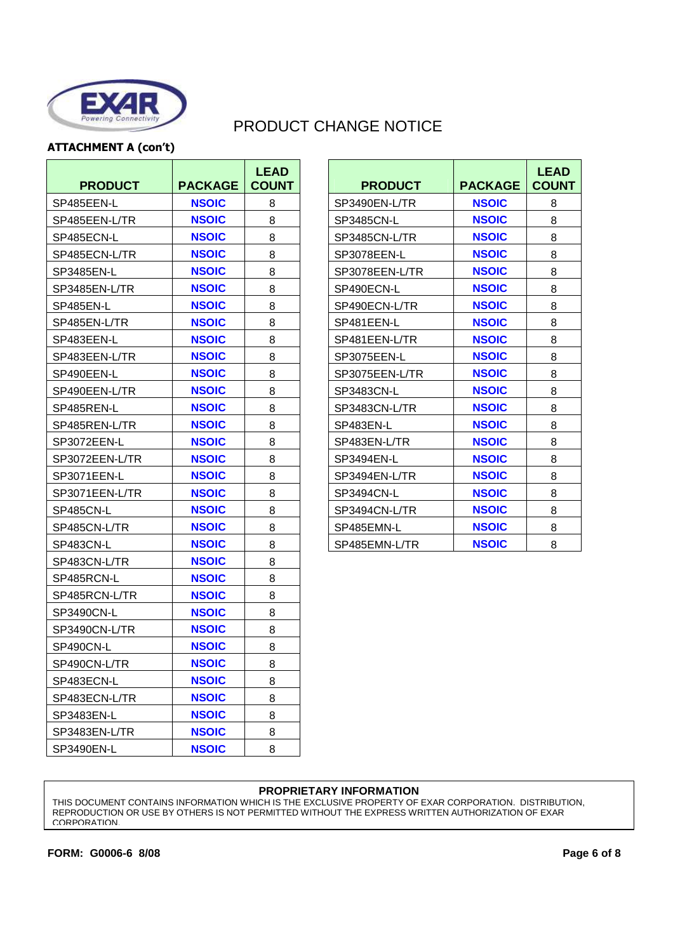

### **ATTACHMENT A (con't)**

| <b>PRODUCT</b> | <b>PACKAGE</b> | <b>LEAD</b><br><b>COUNT</b> | <b>PRODUCT</b> | <b>PACKAGE</b> | <b>LEA</b><br>COU |
|----------------|----------------|-----------------------------|----------------|----------------|-------------------|
| SP485EEN-L     | <b>NSOIC</b>   | 8                           | SP3490EN-L/TR  | <b>NSOIC</b>   | 8                 |
| SP485EEN-L/TR  | <b>NSOIC</b>   | 8                           | SP3485CN-L     | <b>NSOIC</b>   | 8                 |
| SP485ECN-L     | <b>NSOIC</b>   | 8                           | SP3485CN-L/TR  | <b>NSOIC</b>   | 8                 |
| SP485ECN-L/TR  | <b>NSOIC</b>   | 8                           | SP3078EEN-L    | <b>NSOIC</b>   | 8                 |
| SP3485EN-L     | <b>NSOIC</b>   | 8                           | SP3078EEN-L/TR | <b>NSOIC</b>   | 8                 |
| SP3485EN-L/TR  | <b>NSOIC</b>   | 8                           | SP490ECN-L     | <b>NSOIC</b>   | 8                 |
| SP485EN-L      | <b>NSOIC</b>   | 8                           | SP490ECN-L/TR  | <b>NSOIC</b>   | 8                 |
| SP485EN-L/TR   | <b>NSOIC</b>   | 8                           | SP481EEN-L     | <b>NSOIC</b>   | 8                 |
| SP483EEN-L     | <b>NSOIC</b>   | 8                           | SP481EEN-L/TR  | <b>NSOIC</b>   | 8                 |
| SP483EEN-L/TR  | <b>NSOIC</b>   | 8                           | SP3075EEN-L    | <b>NSOIC</b>   | $\,8\,$           |
| SP490EEN-L     | <b>NSOIC</b>   | 8                           | SP3075EEN-L/TR | <b>NSOIC</b>   | 8                 |
| SP490EEN-L/TR  | <b>NSOIC</b>   | 8                           | SP3483CN-L     | <b>NSOIC</b>   | 8                 |
| SP485REN-L     | <b>NSOIC</b>   | 8                           | SP3483CN-L/TR  | <b>NSOIC</b>   | 8                 |
| SP485REN-L/TR  | <b>NSOIC</b>   | 8                           | SP483EN-L      | <b>NSOIC</b>   | 8                 |
| SP3072EEN-L    | <b>NSOIC</b>   | 8                           | SP483EN-L/TR   | <b>NSOIC</b>   | 8                 |
| SP3072EEN-L/TR | <b>NSOIC</b>   | 8                           | SP3494EN-L     | <b>NSOIC</b>   | 8                 |
| SP3071EEN-L    | <b>NSOIC</b>   | 8                           | SP3494EN-L/TR  | <b>NSOIC</b>   | 8                 |
| SP3071EEN-L/TR | <b>NSOIC</b>   | 8                           | SP3494CN-L     | <b>NSOIC</b>   | 8                 |
| SP485CN-L      | <b>NSOIC</b>   | 8                           | SP3494CN-L/TR  | <b>NSOIC</b>   | 8                 |
| SP485CN-L/TR   | <b>NSOIC</b>   | 8                           | SP485EMN-L     | <b>NSOIC</b>   | $\,8\,$           |
| SP483CN-L      | <b>NSOIC</b>   | 8                           | SP485EMN-L/TR  | <b>NSOIC</b>   | 8                 |
| SP483CN-L/TR   | <b>NSOIC</b>   | 8                           |                |                |                   |
| SP485RCN-L     | <b>NSOIC</b>   | 8                           |                |                |                   |
| SP485RCN-L/TR  | <b>NSOIC</b>   | 8                           |                |                |                   |
| SP3490CN-L     | <b>NSOIC</b>   | 8                           |                |                |                   |
| SP3490CN-L/TR  | <b>NSOIC</b>   | 8                           |                |                |                   |
| SP490CN-L      | <b>NSOIC</b>   | 8                           |                |                |                   |
| SP490CN-L/TR   | <b>NSOIC</b>   | 8                           |                |                |                   |
| SP483ECN-L     | <b>NSOIC</b>   | 8                           |                |                |                   |
| SP483ECN-L/TR  | <b>NSOIC</b>   | 8                           |                |                |                   |
| SP3483EN-L     | <b>NSOIC</b>   | 8                           |                |                |                   |
| SP3483EN-L/TR  | <b>NSOIC</b>   | 8                           |                |                |                   |
| SP3490EN-L     | <b>NSOIC</b>   | 8                           |                |                |                   |

| <b>LEAD</b><br><b>COUNT</b> | <b>PRODUCT</b> | <b>PACKAGE</b> | <b>LEAD</b><br><b>COUNT</b> |
|-----------------------------|----------------|----------------|-----------------------------|
| 8                           | SP3490EN-L/TR  | <b>NSOIC</b>   | 8                           |
| 8                           | SP3485CN-L     | <b>NSOIC</b>   | 8                           |
| 8                           | SP3485CN-L/TR  | <b>NSOIC</b>   | 8                           |
| 8                           | SP3078EEN-L    | <b>NSOIC</b>   | 8                           |
| 8                           | SP3078EEN-L/TR | <b>NSOIC</b>   | 8                           |
| 8                           | SP490ECN-L     | <b>NSOIC</b>   | 8                           |
| 8                           | SP490ECN-L/TR  | <b>NSOIC</b>   | 8                           |
| 8                           | SP481EEN-L     | <b>NSOIC</b>   | 8                           |
| 8                           | SP481EEN-L/TR  | <b>NSOIC</b>   | 8                           |
| 8                           | SP3075EEN-L    | <b>NSOIC</b>   | 8                           |
| 8                           | SP3075EEN-L/TR | <b>NSOIC</b>   | 8                           |
| 8                           | SP3483CN-L     | <b>NSOIC</b>   | 8                           |
| 8                           | SP3483CN-L/TR  | <b>NSOIC</b>   | 8                           |
| 8                           | SP483EN-L      | <b>NSOIC</b>   | 8                           |
| 8                           | SP483EN-L/TR   | <b>NSOIC</b>   | 8                           |
| 8                           | SP3494EN-L     | <b>NSOIC</b>   | 8                           |
| 8                           | SP3494EN-L/TR  | <b>NSOIC</b>   | 8                           |
| 8                           | SP3494CN-L     | <b>NSOIC</b>   | 8                           |
| 8                           | SP3494CN-L/TR  | <b>NSOIC</b>   | 8                           |
| 8                           | SP485EMN-L     | <b>NSOIC</b>   | 8                           |
| 8                           | SP485EMN-L/TR  | <b>NSOIC</b>   | 8                           |

#### **PROPRIETARY INFORMATION**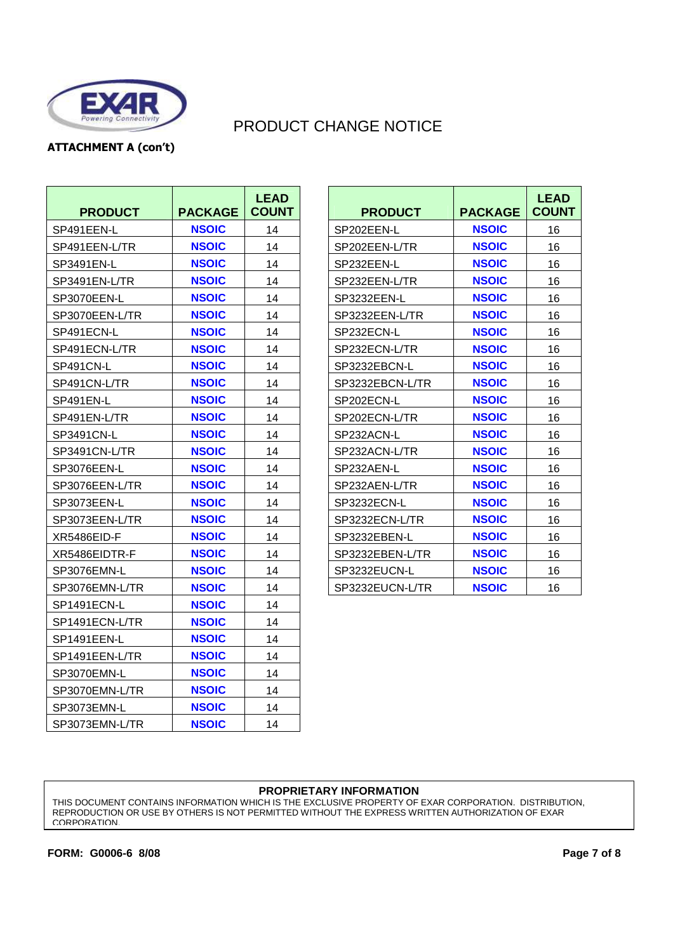

### **ATTACHMENT A (con't)**

| <b>PRODUCT</b> | <b>PACKAGE</b> | <b>LEAD</b><br><b>COUNT</b> | <b>PRODUCT</b>  | <b>PACKAGE</b> | <b>LEA</b><br><b>COUI</b> |
|----------------|----------------|-----------------------------|-----------------|----------------|---------------------------|
| SP491EEN-L     | <b>NSOIC</b>   | 14                          | SP202EEN-L      | <b>NSOIC</b>   | 16                        |
| SP491EEN-L/TR  | <b>NSOIC</b>   | 14                          | SP202EEN-L/TR   | <b>NSOIC</b>   | 16                        |
| SP3491EN-L     | <b>NSOIC</b>   | 14                          | SP232EEN-L      | <b>NSOIC</b>   | 16                        |
| SP3491EN-L/TR  | <b>NSOIC</b>   | 14                          | SP232EEN-L/TR   | <b>NSOIC</b>   | 16                        |
| SP3070EEN-L    | <b>NSOIC</b>   | 14                          | SP3232EEN-L     | <b>NSOIC</b>   | 16                        |
| SP3070EEN-L/TR | <b>NSOIC</b>   | 14                          | SP3232EEN-L/TR  | <b>NSOIC</b>   | 16                        |
| SP491ECN-L     | <b>NSOIC</b>   | 14                          | SP232ECN-L      | <b>NSOIC</b>   | 16                        |
| SP491ECN-L/TR  | <b>NSOIC</b>   | 14                          | SP232ECN-L/TR   | <b>NSOIC</b>   | 16                        |
| SP491CN-L      | <b>NSOIC</b>   | 14                          | SP3232EBCN-L    | <b>NSOIC</b>   | 16                        |
| SP491CN-L/TR   | <b>NSOIC</b>   | 14                          | SP3232EBCN-L/TR | <b>NSOIC</b>   | 16                        |
| SP491EN-L      | <b>NSOIC</b>   | 14                          | SP202ECN-L      | <b>NSOIC</b>   | 16                        |
| SP491EN-L/TR   | <b>NSOIC</b>   | 14                          | SP202ECN-L/TR   | <b>NSOIC</b>   | 16                        |
| SP3491CN-L     | <b>NSOIC</b>   | 14                          | SP232ACN-L      | <b>NSOIC</b>   | 16                        |
| SP3491CN-L/TR  | <b>NSOIC</b>   | 14                          | SP232ACN-L/TR   | <b>NSOIC</b>   | 16                        |
| SP3076EEN-L    | <b>NSOIC</b>   | 14                          | SP232AEN-L      | <b>NSOIC</b>   | 16                        |
| SP3076EEN-L/TR | <b>NSOIC</b>   | 14                          | SP232AEN-L/TR   | <b>NSOIC</b>   | 16                        |
| SP3073EEN-L    | <b>NSOIC</b>   | 14                          | SP3232ECN-L     | <b>NSOIC</b>   | 16                        |
| SP3073EEN-L/TR | <b>NSOIC</b>   | 14                          | SP3232ECN-L/TR  | <b>NSOIC</b>   | 16                        |
| XR5486EID-F    | <b>NSOIC</b>   | 14                          | SP3232EBEN-L    | <b>NSOIC</b>   | 16                        |
| XR5486EIDTR-F  | <b>NSOIC</b>   | 14                          | SP3232EBEN-L/TR | <b>NSOIC</b>   | 16                        |
| SP3076EMN-L    | <b>NSOIC</b>   | 14                          | SP3232EUCN-L    | <b>NSOIC</b>   | 16                        |
| SP3076EMN-L/TR | <b>NSOIC</b>   | 14                          | SP3232EUCN-L/TR | <b>NSOIC</b>   | 16                        |
| SP1491ECN-L    | <b>NSOIC</b>   | 14                          |                 |                |                           |
| SP1491ECN-L/TR | <b>NSOIC</b>   | 14                          |                 |                |                           |
| SP1491EEN-L    | <b>NSOIC</b>   | 14                          |                 |                |                           |
| SP1491EEN-L/TR | <b>NSOIC</b>   | 14                          |                 |                |                           |
| SP3070EMN-L    | <b>NSOIC</b>   | 14                          |                 |                |                           |
| SP3070EMN-L/TR | <b>NSOIC</b>   | 14                          |                 |                |                           |
| SP3073EMN-L    | <b>NSOIC</b>   | 14                          |                 |                |                           |
| SP3073EMN-L/TR | <b>NSOIC</b>   | 14                          |                 |                |                           |

| <b>LEAD</b><br><b>COUNT</b> | <b>PRODUCT</b>  | <b>PACKAGE</b> | <b>LEAD</b><br><b>COUNT</b> |
|-----------------------------|-----------------|----------------|-----------------------------|
| 14                          | SP202EEN-L      | <b>NSOIC</b>   | 16                          |
| 14                          | SP202EEN-L/TR   | <b>NSOIC</b>   | 16                          |
| 14                          | SP232EEN-L      | <b>NSOIC</b>   | 16                          |
| 14                          | SP232EEN-L/TR   | <b>NSOIC</b>   | 16                          |
| 14                          | SP3232EEN-L     | <b>NSOIC</b>   | 16                          |
| 14                          | SP3232EEN-L/TR  | <b>NSOIC</b>   | 16                          |
| 14                          | SP232ECN-L      | <b>NSOIC</b>   | 16                          |
| 14                          | SP232ECN-L/TR   | <b>NSOIC</b>   | 16                          |
| 14                          | SP3232EBCN-L    | <b>NSOIC</b>   | 16                          |
| 14                          | SP3232EBCN-L/TR | <b>NSOIC</b>   | 16                          |
| 14                          | SP202ECN-L      | <b>NSOIC</b>   | 16                          |
| 14                          | SP202ECN-L/TR   | <b>NSOIC</b>   | 16                          |
| 14                          | SP232ACN-L      | <b>NSOIC</b>   | 16                          |
| 14                          | SP232ACN-L/TR   | <b>NSOIC</b>   | 16                          |
| 14                          | SP232AEN-L      | <b>NSOIC</b>   | 16                          |
| 14                          | SP232AEN-L/TR   | <b>NSOIC</b>   | 16                          |
| 14                          | SP3232ECN-L     | <b>NSOIC</b>   | 16                          |
| 14                          | SP3232ECN-L/TR  | <b>NSOIC</b>   | 16                          |
| 14                          | SP3232EBEN-L    | <b>NSOIC</b>   | 16                          |
| 14                          | SP3232EBEN-L/TR | <b>NSOIC</b>   | 16                          |
| 14                          | SP3232EUCN-L    | <b>NSOIC</b>   | 16                          |
| 14                          | SP3232EUCN-L/TR | <b>NSOIC</b>   | 16                          |

#### **PROPRIETARY INFORMATION**